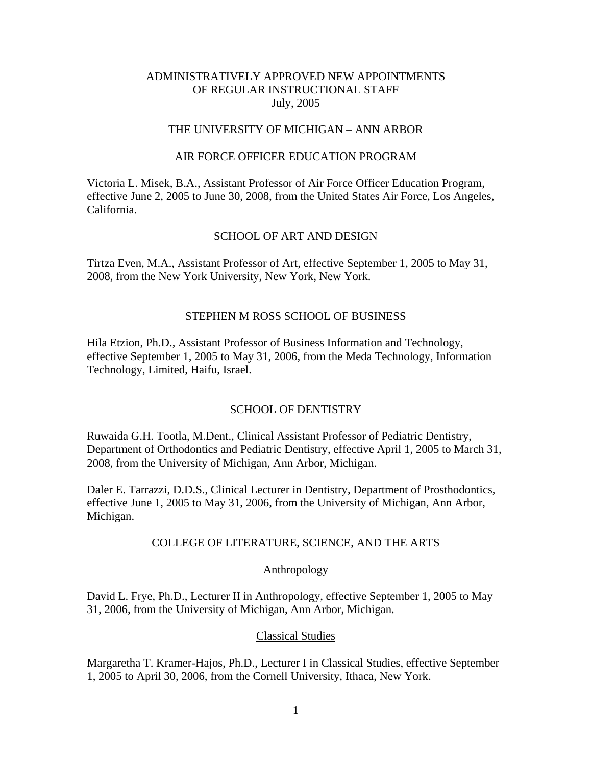## THE UNIVERSITY OF MICHIGAN – ANN ARBOR

#### AIR FORCE OFFICER EDUCATION PROGRAM

Victoria L. Misek, B.A., Assistant Professor of Air Force Officer Education Program, effective June 2, 2005 to June 30, 2008, from the United States Air Force, Los Angeles, California.

#### SCHOOL OF ART AND DESIGN

Tirtza Even, M.A., Assistant Professor of Art, effective September 1, 2005 to May 31, 2008, from the New York University, New York, New York.

#### STEPHEN M ROSS SCHOOL OF BUSINESS

Hila Etzion, Ph.D., Assistant Professor of Business Information and Technology, effective September 1, 2005 to May 31, 2006, from the Meda Technology, Information Technology, Limited, Haifu, Israel.

## SCHOOL OF DENTISTRY

Ruwaida G.H. Tootla, M.Dent., Clinical Assistant Professor of Pediatric Dentistry, Department of Orthodontics and Pediatric Dentistry, effective April 1, 2005 to March 31, 2008, from the University of Michigan, Ann Arbor, Michigan.

Daler E. Tarrazzi, D.D.S., Clinical Lecturer in Dentistry, Department of Prosthodontics, effective June 1, 2005 to May 31, 2006, from the University of Michigan, Ann Arbor, Michigan.

#### COLLEGE OF LITERATURE, SCIENCE, AND THE ARTS

#### Anthropology

David L. Frye, Ph.D., Lecturer II in Anthropology, effective September 1, 2005 to May 31, 2006, from the University of Michigan, Ann Arbor, Michigan.

#### Classical Studies

Margaretha T. Kramer-Hajos, Ph.D., Lecturer I in Classical Studies, effective September 1, 2005 to April 30, 2006, from the Cornell University, Ithaca, New York.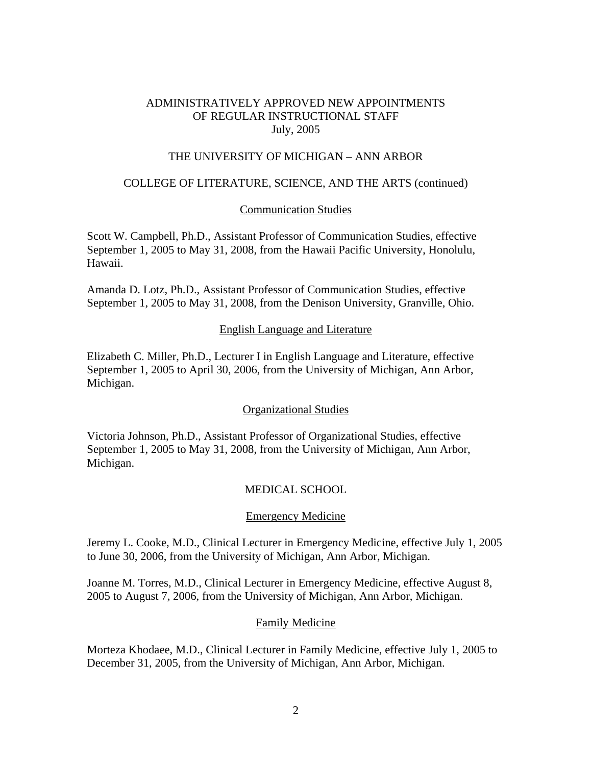### THE UNIVERSITY OF MICHIGAN – ANN ARBOR

### COLLEGE OF LITERATURE, SCIENCE, AND THE ARTS (continued)

#### Communication Studies

Scott W. Campbell, Ph.D., Assistant Professor of Communication Studies, effective September 1, 2005 to May 31, 2008, from the Hawaii Pacific University, Honolulu, Hawaii.

Amanda D. Lotz, Ph.D., Assistant Professor of Communication Studies, effective September 1, 2005 to May 31, 2008, from the Denison University, Granville, Ohio.

#### English Language and Literature

Elizabeth C. Miller, Ph.D., Lecturer I in English Language and Literature, effective September 1, 2005 to April 30, 2006, from the University of Michigan, Ann Arbor, Michigan.

#### Organizational Studies

Victoria Johnson, Ph.D., Assistant Professor of Organizational Studies, effective September 1, 2005 to May 31, 2008, from the University of Michigan, Ann Arbor, Michigan.

#### MEDICAL SCHOOL

#### Emergency Medicine

Jeremy L. Cooke, M.D., Clinical Lecturer in Emergency Medicine, effective July 1, 2005 to June 30, 2006, from the University of Michigan, Ann Arbor, Michigan.

Joanne M. Torres, M.D., Clinical Lecturer in Emergency Medicine, effective August 8, 2005 to August 7, 2006, from the University of Michigan, Ann Arbor, Michigan.

#### Family Medicine

Morteza Khodaee, M.D., Clinical Lecturer in Family Medicine, effective July 1, 2005 to December 31, 2005, from the University of Michigan, Ann Arbor, Michigan.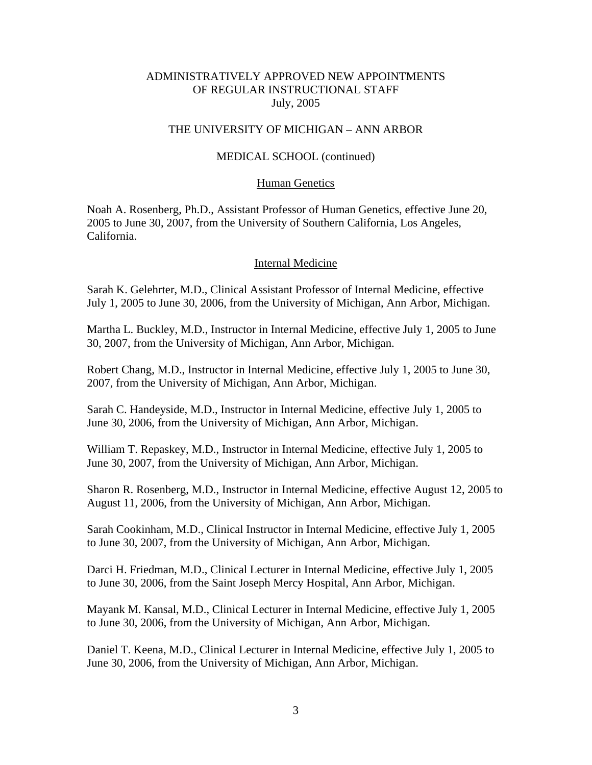#### THE UNIVERSITY OF MICHIGAN – ANN ARBOR

#### MEDICAL SCHOOL (continued)

#### Human Genetics

Noah A. Rosenberg, Ph.D., Assistant Professor of Human Genetics, effective June 20, 2005 to June 30, 2007, from the University of Southern California, Los Angeles, California.

#### Internal Medicine

Sarah K. Gelehrter, M.D., Clinical Assistant Professor of Internal Medicine, effective July 1, 2005 to June 30, 2006, from the University of Michigan, Ann Arbor, Michigan.

Martha L. Buckley, M.D., Instructor in Internal Medicine, effective July 1, 2005 to June 30, 2007, from the University of Michigan, Ann Arbor, Michigan.

Robert Chang, M.D., Instructor in Internal Medicine, effective July 1, 2005 to June 30, 2007, from the University of Michigan, Ann Arbor, Michigan.

Sarah C. Handeyside, M.D., Instructor in Internal Medicine, effective July 1, 2005 to June 30, 2006, from the University of Michigan, Ann Arbor, Michigan.

William T. Repaskey, M.D., Instructor in Internal Medicine, effective July 1, 2005 to June 30, 2007, from the University of Michigan, Ann Arbor, Michigan.

Sharon R. Rosenberg, M.D., Instructor in Internal Medicine, effective August 12, 2005 to August 11, 2006, from the University of Michigan, Ann Arbor, Michigan.

Sarah Cookinham, M.D., Clinical Instructor in Internal Medicine, effective July 1, 2005 to June 30, 2007, from the University of Michigan, Ann Arbor, Michigan.

Darci H. Friedman, M.D., Clinical Lecturer in Internal Medicine, effective July 1, 2005 to June 30, 2006, from the Saint Joseph Mercy Hospital, Ann Arbor, Michigan.

Mayank M. Kansal, M.D., Clinical Lecturer in Internal Medicine, effective July 1, 2005 to June 30, 2006, from the University of Michigan, Ann Arbor, Michigan.

Daniel T. Keena, M.D., Clinical Lecturer in Internal Medicine, effective July 1, 2005 to June 30, 2006, from the University of Michigan, Ann Arbor, Michigan.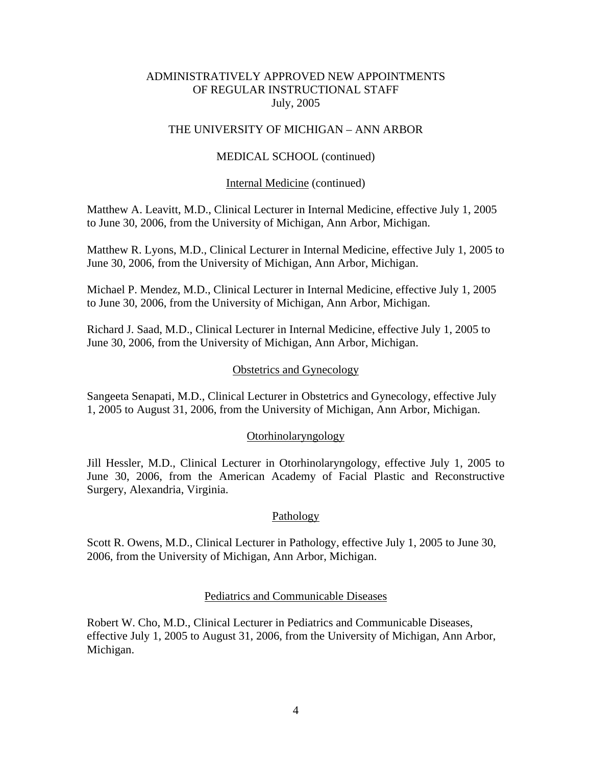## THE UNIVERSITY OF MICHIGAN – ANN ARBOR

## MEDICAL SCHOOL (continued)

#### Internal Medicine (continued)

Matthew A. Leavitt, M.D., Clinical Lecturer in Internal Medicine, effective July 1, 2005 to June 30, 2006, from the University of Michigan, Ann Arbor, Michigan.

Matthew R. Lyons, M.D., Clinical Lecturer in Internal Medicine, effective July 1, 2005 to June 30, 2006, from the University of Michigan, Ann Arbor, Michigan.

Michael P. Mendez, M.D., Clinical Lecturer in Internal Medicine, effective July 1, 2005 to June 30, 2006, from the University of Michigan, Ann Arbor, Michigan.

Richard J. Saad, M.D., Clinical Lecturer in Internal Medicine, effective July 1, 2005 to June 30, 2006, from the University of Michigan, Ann Arbor, Michigan.

#### Obstetrics and Gynecology

Sangeeta Senapati, M.D., Clinical Lecturer in Obstetrics and Gynecology, effective July 1, 2005 to August 31, 2006, from the University of Michigan, Ann Arbor, Michigan.

#### Otorhinolaryngology

Jill Hessler, M.D., Clinical Lecturer in Otorhinolaryngology, effective July 1, 2005 to June 30, 2006, from the American Academy of Facial Plastic and Reconstructive Surgery, Alexandria, Virginia.

#### Pathology

Scott R. Owens, M.D., Clinical Lecturer in Pathology, effective July 1, 2005 to June 30, 2006, from the University of Michigan, Ann Arbor, Michigan.

#### Pediatrics and Communicable Diseases

Robert W. Cho, M.D., Clinical Lecturer in Pediatrics and Communicable Diseases, effective July 1, 2005 to August 31, 2006, from the University of Michigan, Ann Arbor, Michigan.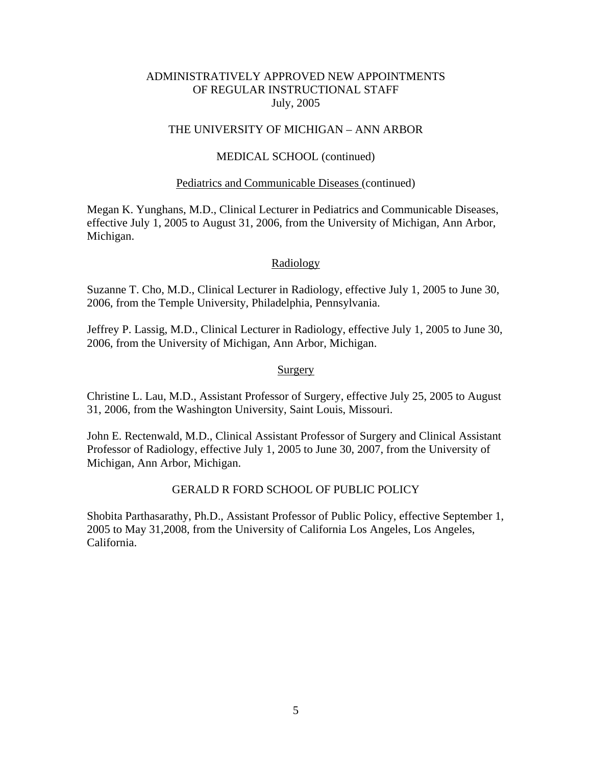## THE UNIVERSITY OF MICHIGAN – ANN ARBOR

## MEDICAL SCHOOL (continued)

#### Pediatrics and Communicable Diseases (continued)

Megan K. Yunghans, M.D., Clinical Lecturer in Pediatrics and Communicable Diseases, effective July 1, 2005 to August 31, 2006, from the University of Michigan, Ann Arbor, Michigan.

#### Radiology

Suzanne T. Cho, M.D., Clinical Lecturer in Radiology, effective July 1, 2005 to June 30, 2006, from the Temple University, Philadelphia, Pennsylvania.

Jeffrey P. Lassig, M.D., Clinical Lecturer in Radiology, effective July 1, 2005 to June 30, 2006, from the University of Michigan, Ann Arbor, Michigan.

#### **Surgery**

Christine L. Lau, M.D., Assistant Professor of Surgery, effective July 25, 2005 to August 31, 2006, from the Washington University, Saint Louis, Missouri.

John E. Rectenwald, M.D., Clinical Assistant Professor of Surgery and Clinical Assistant Professor of Radiology, effective July 1, 2005 to June 30, 2007, from the University of Michigan, Ann Arbor, Michigan.

## GERALD R FORD SCHOOL OF PUBLIC POLICY

Shobita Parthasarathy, Ph.D., Assistant Professor of Public Policy, effective September 1, 2005 to May 31,2008, from the University of California Los Angeles, Los Angeles, California.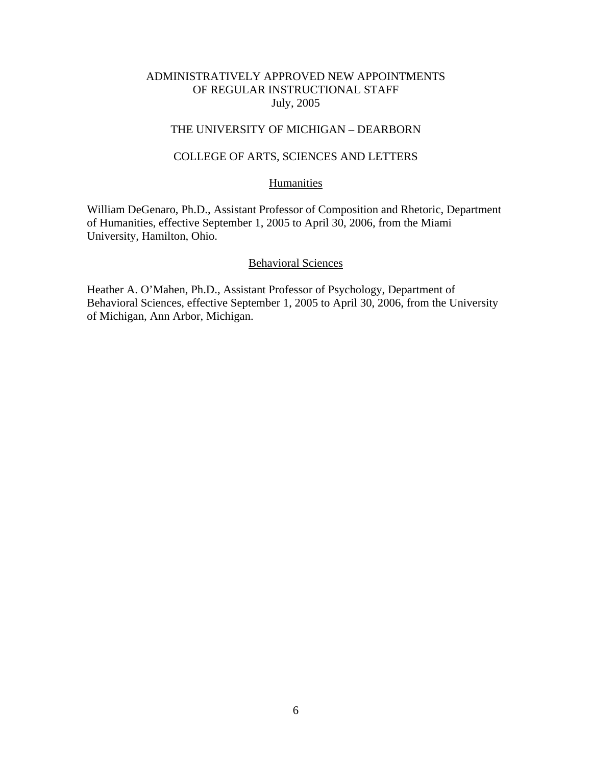# THE UNIVERSITY OF MICHIGAN – DEARBORN

## COLLEGE OF ARTS, SCIENCES AND LETTERS

# **Humanities**

William DeGenaro, Ph.D., Assistant Professor of Composition and Rhetoric, Department of Humanities, effective September 1, 2005 to April 30, 2006, from the Miami University, Hamilton, Ohio.

#### Behavioral Sciences

Heather A. O'Mahen, Ph.D., Assistant Professor of Psychology, Department of Behavioral Sciences, effective September 1, 2005 to April 30, 2006, from the University of Michigan, Ann Arbor, Michigan.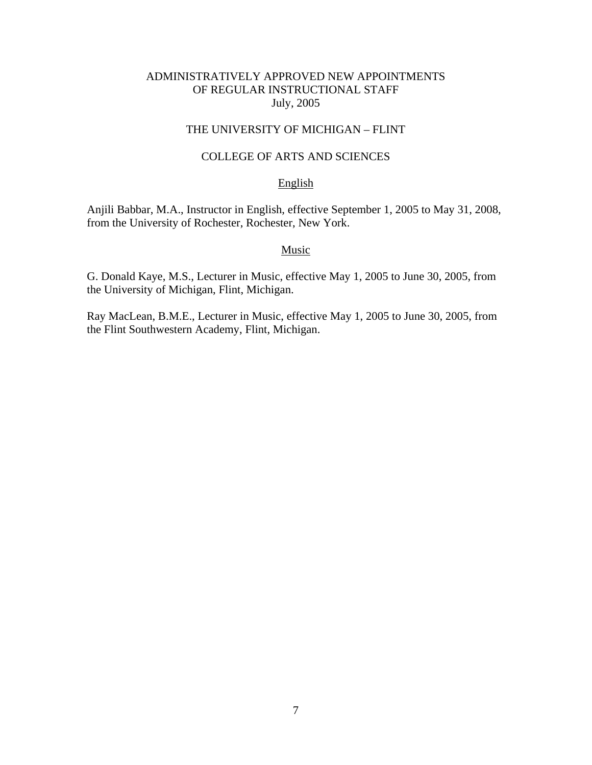# THE UNIVERSITY OF MICHIGAN – FLINT

# COLLEGE OF ARTS AND SCIENCES

### English

Anjili Babbar, M.A., Instructor in English, effective September 1, 2005 to May 31, 2008, from the University of Rochester, Rochester, New York.

## **Music**

G. Donald Kaye, M.S., Lecturer in Music, effective May 1, 2005 to June 30, 2005, from the University of Michigan, Flint, Michigan.

Ray MacLean, B.M.E., Lecturer in Music, effective May 1, 2005 to June 30, 2005, from the Flint Southwestern Academy, Flint, Michigan.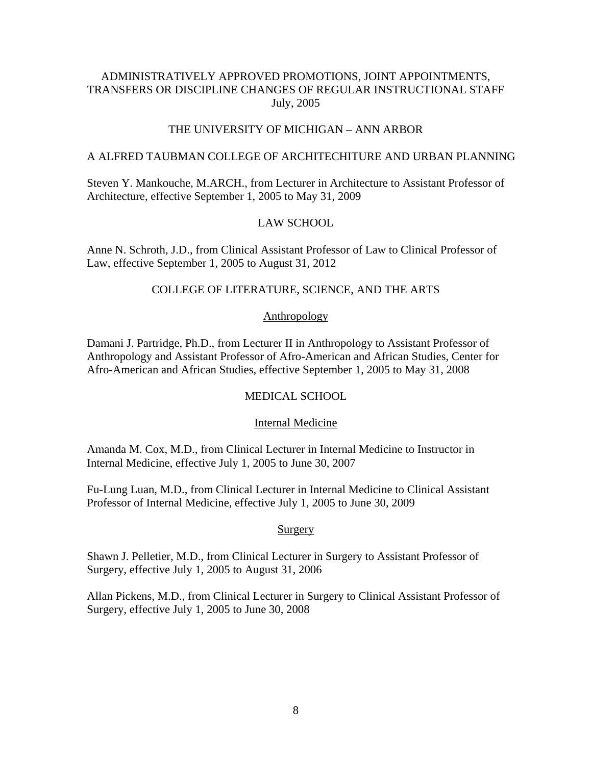# THE UNIVERSITY OF MICHIGAN – ANN ARBOR

#### A ALFRED TAUBMAN COLLEGE OF ARCHITECHITURE AND URBAN PLANNING

Steven Y. Mankouche, M.ARCH., from Lecturer in Architecture to Assistant Professor of Architecture, effective September 1, 2005 to May 31, 2009

# LAW SCHOOL

Anne N. Schroth, J.D., from Clinical Assistant Professor of Law to Clinical Professor of Law, effective September 1, 2005 to August 31, 2012

## COLLEGE OF LITERATURE, SCIENCE, AND THE ARTS

#### Anthropology

Damani J. Partridge, Ph.D., from Lecturer II in Anthropology to Assistant Professor of Anthropology and Assistant Professor of Afro-American and African Studies, Center for Afro-American and African Studies, effective September 1, 2005 to May 31, 2008

#### MEDICAL SCHOOL

#### Internal Medicine

Amanda M. Cox, M.D., from Clinical Lecturer in Internal Medicine to Instructor in Internal Medicine, effective July 1, 2005 to June 30, 2007

Fu-Lung Luan, M.D., from Clinical Lecturer in Internal Medicine to Clinical Assistant Professor of Internal Medicine, effective July 1, 2005 to June 30, 2009

#### Surgery

Shawn J. Pelletier, M.D., from Clinical Lecturer in Surgery to Assistant Professor of Surgery, effective July 1, 2005 to August 31, 2006

Allan Pickens, M.D., from Clinical Lecturer in Surgery to Clinical Assistant Professor of Surgery, effective July 1, 2005 to June 30, 2008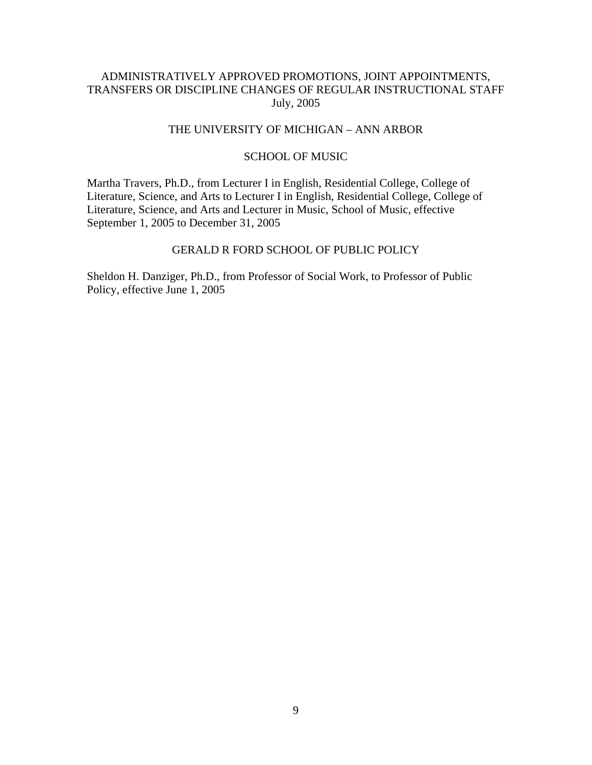## THE UNIVERSITY OF MICHIGAN – ANN ARBOR

#### SCHOOL OF MUSIC

Martha Travers, Ph.D., from Lecturer I in English, Residential College, College of Literature, Science, and Arts to Lecturer I in English, Residential College, College of Literature, Science, and Arts and Lecturer in Music, School of Music, effective September 1, 2005 to December 31, 2005

## GERALD R FORD SCHOOL OF PUBLIC POLICY

Sheldon H. Danziger, Ph.D., from Professor of Social Work, to Professor of Public Policy, effective June 1, 2005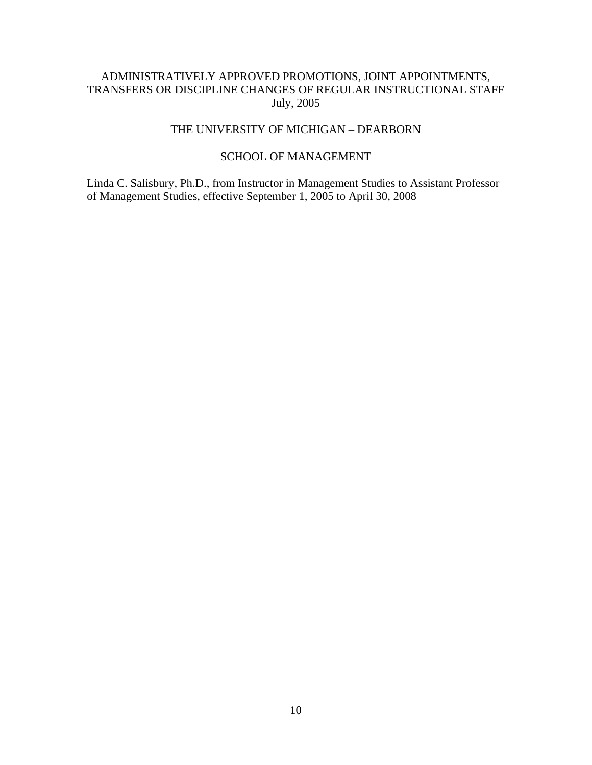# THE UNIVERSITY OF MICHIGAN – DEARBORN

# SCHOOL OF MANAGEMENT

Linda C. Salisbury, Ph.D., from Instructor in Management Studies to Assistant Professor of Management Studies, effective September 1, 2005 to April 30, 2008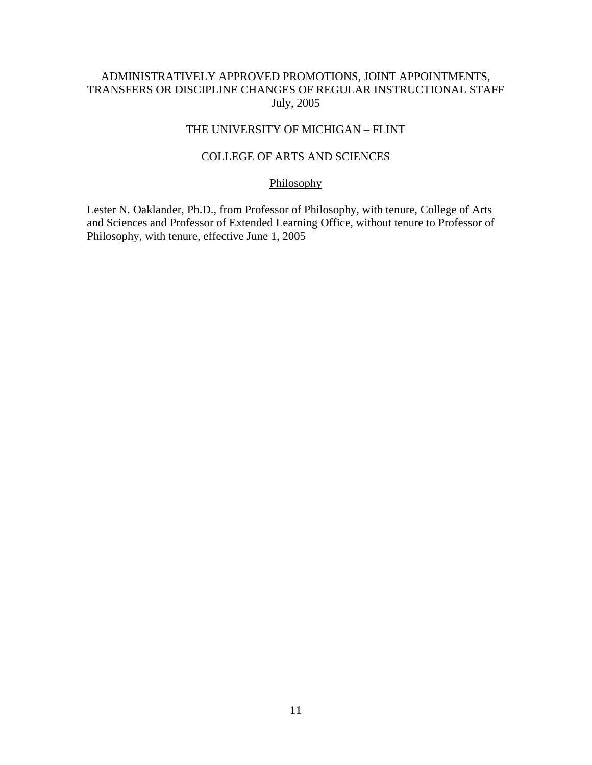# THE UNIVERSITY OF MICHIGAN – FLINT

## COLLEGE OF ARTS AND SCIENCES

# Philosophy

Lester N. Oaklander, Ph.D., from Professor of Philosophy, with tenure, College of Arts and Sciences and Professor of Extended Learning Office, without tenure to Professor of Philosophy, with tenure, effective June 1, 2005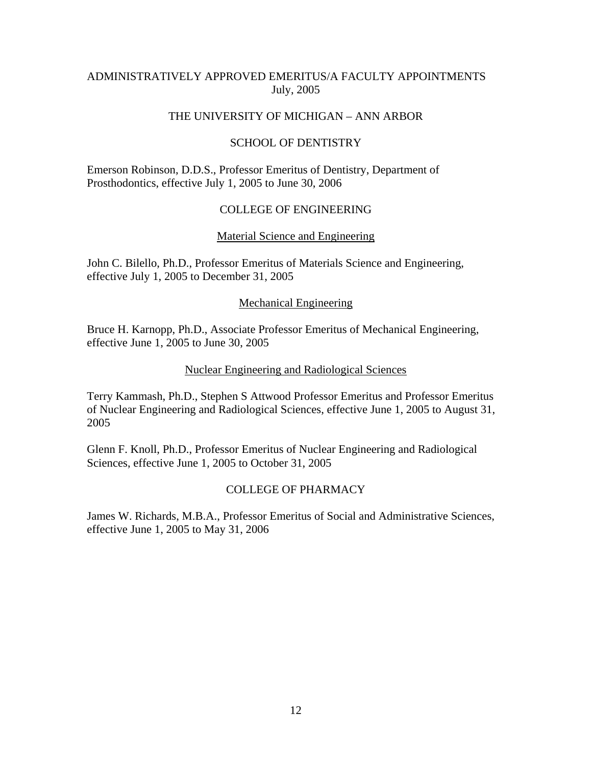# ADMINISTRATIVELY APPROVED EMERITUS/A FACULTY APPOINTMENTS July, 2005

## THE UNIVERSITY OF MICHIGAN – ANN ARBOR

## SCHOOL OF DENTISTRY

Emerson Robinson, D.D.S., Professor Emeritus of Dentistry, Department of Prosthodontics, effective July 1, 2005 to June 30, 2006

## COLLEGE OF ENGINEERING

## Material Science and Engineering

John C. Bilello, Ph.D., Professor Emeritus of Materials Science and Engineering, effective July 1, 2005 to December 31, 2005

#### Mechanical Engineering

Bruce H. Karnopp, Ph.D., Associate Professor Emeritus of Mechanical Engineering, effective June 1, 2005 to June 30, 2005

#### Nuclear Engineering and Radiological Sciences

Terry Kammash, Ph.D., Stephen S Attwood Professor Emeritus and Professor Emeritus of Nuclear Engineering and Radiological Sciences, effective June 1, 2005 to August 31, 2005

Glenn F. Knoll, Ph.D., Professor Emeritus of Nuclear Engineering and Radiological Sciences, effective June 1, 2005 to October 31, 2005

## COLLEGE OF PHARMACY

James W. Richards, M.B.A., Professor Emeritus of Social and Administrative Sciences, effective June 1, 2005 to May 31, 2006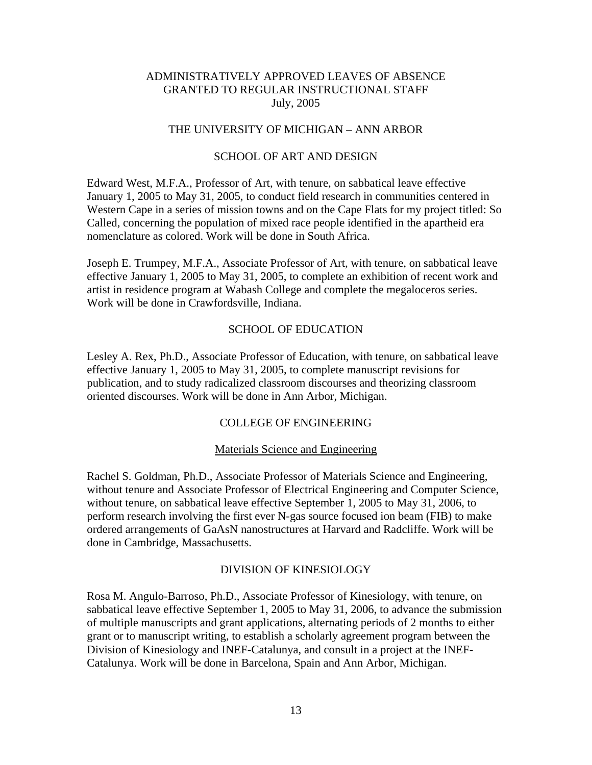# THE UNIVERSITY OF MICHIGAN – ANN ARBOR

### SCHOOL OF ART AND DESIGN

Edward West, M.F.A., Professor of Art, with tenure, on sabbatical leave effective January 1, 2005 to May 31, 2005, to conduct field research in communities centered in Western Cape in a series of mission towns and on the Cape Flats for my project titled: So Called, concerning the population of mixed race people identified in the apartheid era nomenclature as colored. Work will be done in South Africa.

Joseph E. Trumpey, M.F.A., Associate Professor of Art, with tenure, on sabbatical leave effective January 1, 2005 to May 31, 2005, to complete an exhibition of recent work and artist in residence program at Wabash College and complete the megaloceros series. Work will be done in Crawfordsville, Indiana.

#### SCHOOL OF EDUCATION

Lesley A. Rex, Ph.D., Associate Professor of Education, with tenure, on sabbatical leave effective January 1, 2005 to May 31, 2005, to complete manuscript revisions for publication, and to study radicalized classroom discourses and theorizing classroom oriented discourses. Work will be done in Ann Arbor, Michigan.

## COLLEGE OF ENGINEERING

#### Materials Science and Engineering

Rachel S. Goldman, Ph.D., Associate Professor of Materials Science and Engineering, without tenure and Associate Professor of Electrical Engineering and Computer Science, without tenure, on sabbatical leave effective September 1, 2005 to May 31, 2006, to perform research involving the first ever N-gas source focused ion beam (FIB) to make ordered arrangements of GaAsN nanostructures at Harvard and Radcliffe. Work will be done in Cambridge, Massachusetts.

#### DIVISION OF KINESIOLOGY

Rosa M. Angulo-Barroso, Ph.D., Associate Professor of Kinesiology, with tenure, on sabbatical leave effective September 1, 2005 to May 31, 2006, to advance the submission of multiple manuscripts and grant applications, alternating periods of 2 months to either grant or to manuscript writing, to establish a scholarly agreement program between the Division of Kinesiology and INEF-Catalunya, and consult in a project at the INEF-Catalunya. Work will be done in Barcelona, Spain and Ann Arbor, Michigan.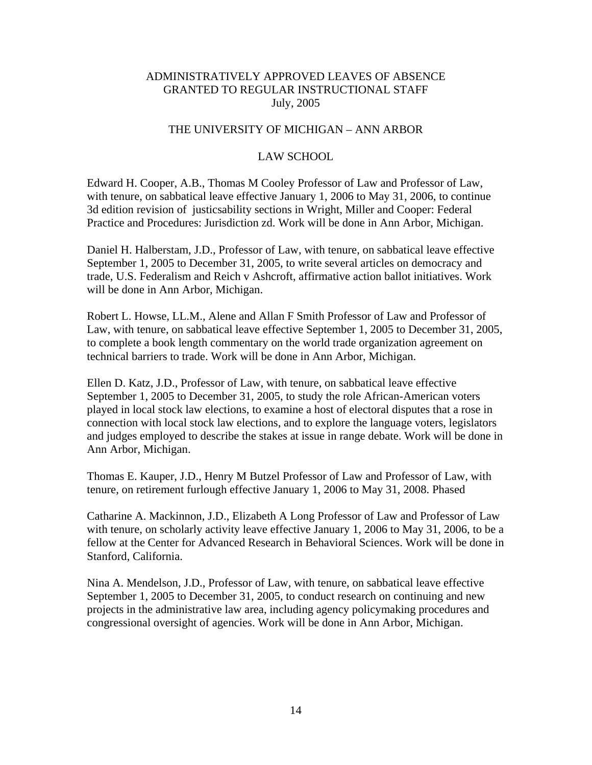# THE UNIVERSITY OF MICHIGAN – ANN ARBOR

### LAW SCHOOL

Edward H. Cooper, A.B., Thomas M Cooley Professor of Law and Professor of Law, with tenure, on sabbatical leave effective January 1, 2006 to May 31, 2006, to continue 3d edition revision of justicsability sections in Wright, Miller and Cooper: Federal Practice and Procedures: Jurisdiction zd. Work will be done in Ann Arbor, Michigan.

Daniel H. Halberstam, J.D., Professor of Law, with tenure, on sabbatical leave effective September 1, 2005 to December 31, 2005, to write several articles on democracy and trade, U.S. Federalism and Reich v Ashcroft, affirmative action ballot initiatives. Work will be done in Ann Arbor, Michigan.

Robert L. Howse, LL.M., Alene and Allan F Smith Professor of Law and Professor of Law, with tenure, on sabbatical leave effective September 1, 2005 to December 31, 2005, to complete a book length commentary on the world trade organization agreement on technical barriers to trade. Work will be done in Ann Arbor, Michigan.

Ellen D. Katz, J.D., Professor of Law, with tenure, on sabbatical leave effective September 1, 2005 to December 31, 2005, to study the role African-American voters played in local stock law elections, to examine a host of electoral disputes that a rose in connection with local stock law elections, and to explore the language voters, legislators and judges employed to describe the stakes at issue in range debate. Work will be done in Ann Arbor, Michigan.

Thomas E. Kauper, J.D., Henry M Butzel Professor of Law and Professor of Law, with tenure, on retirement furlough effective January 1, 2006 to May 31, 2008. Phased

Catharine A. Mackinnon, J.D., Elizabeth A Long Professor of Law and Professor of Law with tenure, on scholarly activity leave effective January 1, 2006 to May 31, 2006, to be a fellow at the Center for Advanced Research in Behavioral Sciences. Work will be done in Stanford, California.

Nina A. Mendelson, J.D., Professor of Law, with tenure, on sabbatical leave effective September 1, 2005 to December 31, 2005, to conduct research on continuing and new projects in the administrative law area, including agency policymaking procedures and congressional oversight of agencies. Work will be done in Ann Arbor, Michigan.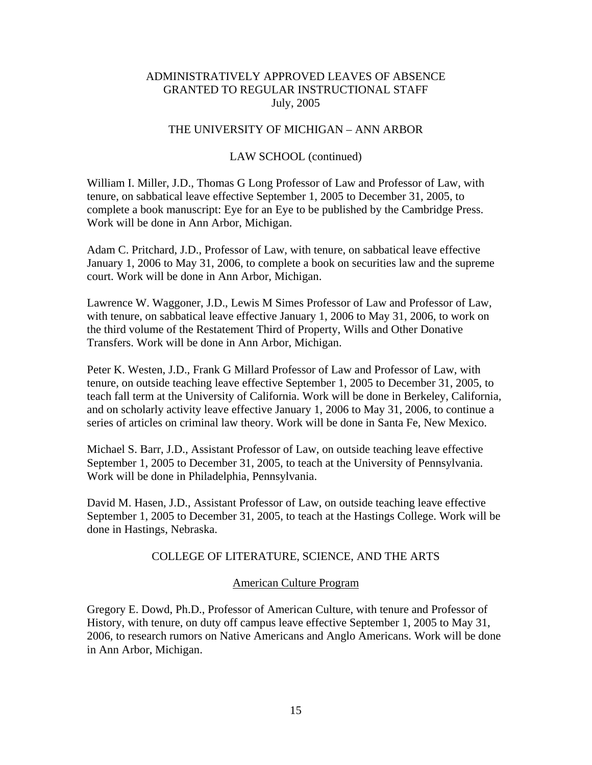### THE UNIVERSITY OF MICHIGAN – ANN ARBOR

## LAW SCHOOL (continued)

William I. Miller, J.D., Thomas G Long Professor of Law and Professor of Law, with tenure, on sabbatical leave effective September 1, 2005 to December 31, 2005, to complete a book manuscript: Eye for an Eye to be published by the Cambridge Press. Work will be done in Ann Arbor, Michigan.

Adam C. Pritchard, J.D., Professor of Law, with tenure, on sabbatical leave effective January 1, 2006 to May 31, 2006, to complete a book on securities law and the supreme court. Work will be done in Ann Arbor, Michigan.

Lawrence W. Waggoner, J.D., Lewis M Simes Professor of Law and Professor of Law, with tenure, on sabbatical leave effective January 1, 2006 to May 31, 2006, to work on the third volume of the Restatement Third of Property, Wills and Other Donative Transfers. Work will be done in Ann Arbor, Michigan.

Peter K. Westen, J.D., Frank G Millard Professor of Law and Professor of Law, with tenure, on outside teaching leave effective September 1, 2005 to December 31, 2005, to teach fall term at the University of California. Work will be done in Berkeley, California, and on scholarly activity leave effective January 1, 2006 to May 31, 2006, to continue a series of articles on criminal law theory. Work will be done in Santa Fe, New Mexico.

Michael S. Barr, J.D., Assistant Professor of Law, on outside teaching leave effective September 1, 2005 to December 31, 2005, to teach at the University of Pennsylvania. Work will be done in Philadelphia, Pennsylvania.

David M. Hasen, J.D., Assistant Professor of Law, on outside teaching leave effective September 1, 2005 to December 31, 2005, to teach at the Hastings College. Work will be done in Hastings, Nebraska.

#### COLLEGE OF LITERATURE, SCIENCE, AND THE ARTS

#### American Culture Program

Gregory E. Dowd, Ph.D., Professor of American Culture, with tenure and Professor of History, with tenure, on duty off campus leave effective September 1, 2005 to May 31, 2006, to research rumors on Native Americans and Anglo Americans. Work will be done in Ann Arbor, Michigan.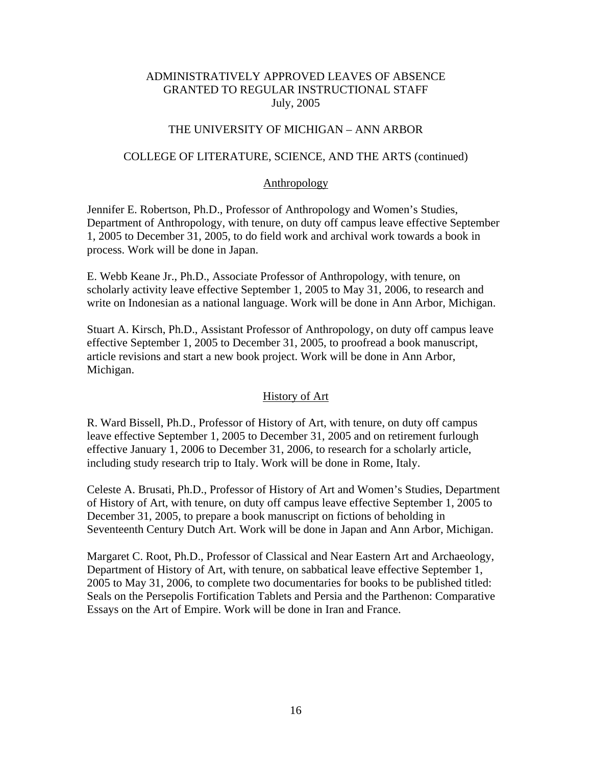# THE UNIVERSITY OF MICHIGAN – ANN ARBOR

## COLLEGE OF LITERATURE, SCIENCE, AND THE ARTS (continued)

## Anthropology

Jennifer E. Robertson, Ph.D., Professor of Anthropology and Women's Studies, Department of Anthropology, with tenure, on duty off campus leave effective September 1, 2005 to December 31, 2005, to do field work and archival work towards a book in process. Work will be done in Japan.

E. Webb Keane Jr., Ph.D., Associate Professor of Anthropology, with tenure, on scholarly activity leave effective September 1, 2005 to May 31, 2006, to research and write on Indonesian as a national language. Work will be done in Ann Arbor, Michigan.

Stuart A. Kirsch, Ph.D., Assistant Professor of Anthropology, on duty off campus leave effective September 1, 2005 to December 31, 2005, to proofread a book manuscript, article revisions and start a new book project. Work will be done in Ann Arbor, Michigan.

## History of Art

R. Ward Bissell, Ph.D., Professor of History of Art, with tenure, on duty off campus leave effective September 1, 2005 to December 31, 2005 and on retirement furlough effective January 1, 2006 to December 31, 2006, to research for a scholarly article, including study research trip to Italy. Work will be done in Rome, Italy.

Celeste A. Brusati, Ph.D., Professor of History of Art and Women's Studies, Department of History of Art, with tenure, on duty off campus leave effective September 1, 2005 to December 31, 2005, to prepare a book manuscript on fictions of beholding in Seventeenth Century Dutch Art. Work will be done in Japan and Ann Arbor, Michigan.

Margaret C. Root, Ph.D., Professor of Classical and Near Eastern Art and Archaeology, Department of History of Art, with tenure, on sabbatical leave effective September 1, 2005 to May 31, 2006, to complete two documentaries for books to be published titled: Seals on the Persepolis Fortification Tablets and Persia and the Parthenon: Comparative Essays on the Art of Empire. Work will be done in Iran and France.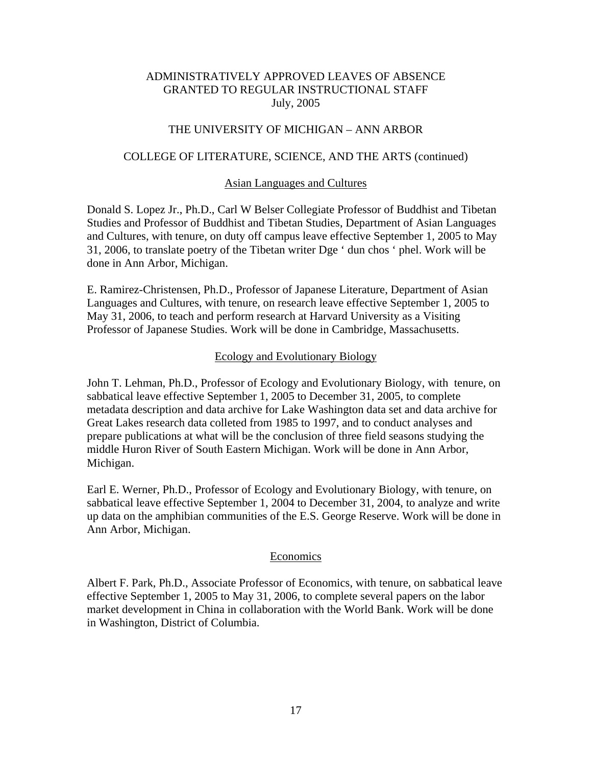## THE UNIVERSITY OF MICHIGAN – ANN ARBOR

#### COLLEGE OF LITERATURE, SCIENCE, AND THE ARTS (continued)

#### Asian Languages and Cultures

Donald S. Lopez Jr., Ph.D., Carl W Belser Collegiate Professor of Buddhist and Tibetan Studies and Professor of Buddhist and Tibetan Studies, Department of Asian Languages and Cultures, with tenure, on duty off campus leave effective September 1, 2005 to May 31, 2006, to translate poetry of the Tibetan writer Dge ' dun chos ' phel. Work will be done in Ann Arbor, Michigan.

E. Ramirez-Christensen, Ph.D., Professor of Japanese Literature, Department of Asian Languages and Cultures, with tenure, on research leave effective September 1, 2005 to May 31, 2006, to teach and perform research at Harvard University as a Visiting Professor of Japanese Studies. Work will be done in Cambridge, Massachusetts.

#### Ecology and Evolutionary Biology

John T. Lehman, Ph.D., Professor of Ecology and Evolutionary Biology, with tenure, on sabbatical leave effective September 1, 2005 to December 31, 2005, to complete metadata description and data archive for Lake Washington data set and data archive for Great Lakes research data colleted from 1985 to 1997, and to conduct analyses and prepare publications at what will be the conclusion of three field seasons studying the middle Huron River of South Eastern Michigan. Work will be done in Ann Arbor, Michigan.

Earl E. Werner, Ph.D., Professor of Ecology and Evolutionary Biology, with tenure, on sabbatical leave effective September 1, 2004 to December 31, 2004, to analyze and write up data on the amphibian communities of the E.S. George Reserve. Work will be done in Ann Arbor, Michigan.

#### Economics

Albert F. Park, Ph.D., Associate Professor of Economics, with tenure, on sabbatical leave effective September 1, 2005 to May 31, 2006, to complete several papers on the labor market development in China in collaboration with the World Bank. Work will be done in Washington, District of Columbia.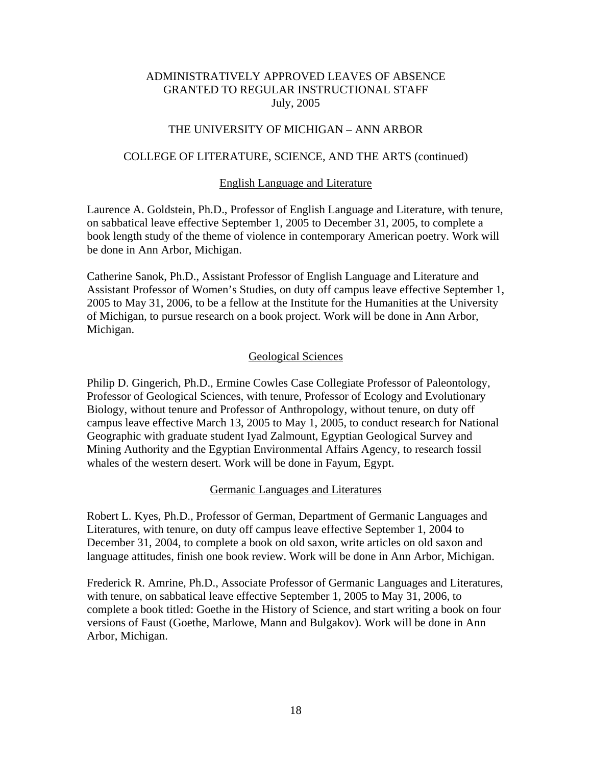## THE UNIVERSITY OF MICHIGAN – ANN ARBOR

#### COLLEGE OF LITERATURE, SCIENCE, AND THE ARTS (continued)

#### English Language and Literature

Laurence A. Goldstein, Ph.D., Professor of English Language and Literature, with tenure, on sabbatical leave effective September 1, 2005 to December 31, 2005, to complete a book length study of the theme of violence in contemporary American poetry. Work will be done in Ann Arbor, Michigan.

Catherine Sanok, Ph.D., Assistant Professor of English Language and Literature and Assistant Professor of Women's Studies, on duty off campus leave effective September 1, 2005 to May 31, 2006, to be a fellow at the Institute for the Humanities at the University of Michigan, to pursue research on a book project. Work will be done in Ann Arbor, Michigan.

#### Geological Sciences

Philip D. Gingerich, Ph.D., Ermine Cowles Case Collegiate Professor of Paleontology, Professor of Geological Sciences, with tenure, Professor of Ecology and Evolutionary Biology, without tenure and Professor of Anthropology, without tenure, on duty off campus leave effective March 13, 2005 to May 1, 2005, to conduct research for National Geographic with graduate student Iyad Zalmount, Egyptian Geological Survey and Mining Authority and the Egyptian Environmental Affairs Agency, to research fossil whales of the western desert. Work will be done in Fayum, Egypt.

#### Germanic Languages and Literatures

Robert L. Kyes, Ph.D., Professor of German, Department of Germanic Languages and Literatures, with tenure, on duty off campus leave effective September 1, 2004 to December 31, 2004, to complete a book on old saxon, write articles on old saxon and language attitudes, finish one book review. Work will be done in Ann Arbor, Michigan.

Frederick R. Amrine, Ph.D., Associate Professor of Germanic Languages and Literatures, with tenure, on sabbatical leave effective September 1, 2005 to May 31, 2006, to complete a book titled: Goethe in the History of Science, and start writing a book on four versions of Faust (Goethe, Marlowe, Mann and Bulgakov). Work will be done in Ann Arbor, Michigan.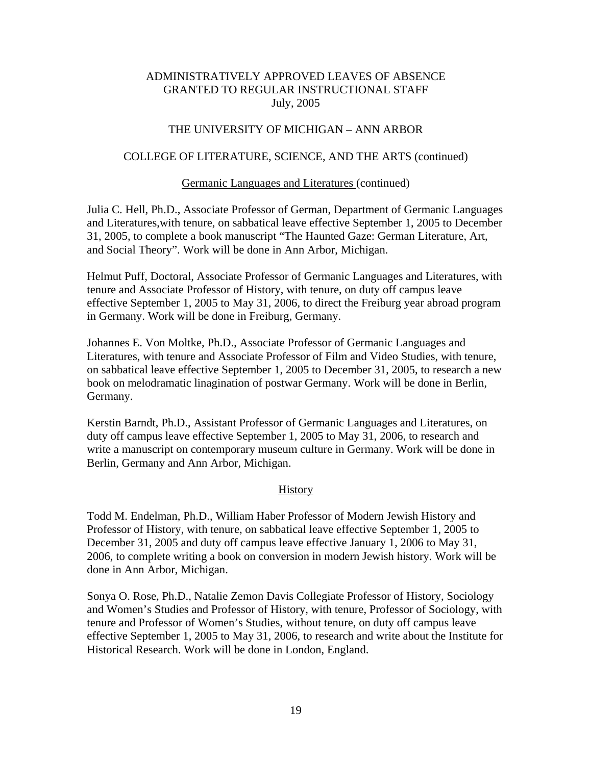# THE UNIVERSITY OF MICHIGAN – ANN ARBOR

## COLLEGE OF LITERATURE, SCIENCE, AND THE ARTS (continued)

#### Germanic Languages and Literatures (continued)

Julia C. Hell, Ph.D., Associate Professor of German, Department of Germanic Languages and Literatures,with tenure, on sabbatical leave effective September 1, 2005 to December 31, 2005, to complete a book manuscript "The Haunted Gaze: German Literature, Art, and Social Theory". Work will be done in Ann Arbor, Michigan.

Helmut Puff, Doctoral, Associate Professor of Germanic Languages and Literatures, with tenure and Associate Professor of History, with tenure, on duty off campus leave effective September 1, 2005 to May 31, 2006, to direct the Freiburg year abroad program in Germany. Work will be done in Freiburg, Germany.

Johannes E. Von Moltke, Ph.D., Associate Professor of Germanic Languages and Literatures, with tenure and Associate Professor of Film and Video Studies, with tenure, on sabbatical leave effective September 1, 2005 to December 31, 2005, to research a new book on melodramatic linagination of postwar Germany. Work will be done in Berlin, Germany.

Kerstin Barndt, Ph.D., Assistant Professor of Germanic Languages and Literatures, on duty off campus leave effective September 1, 2005 to May 31, 2006, to research and write a manuscript on contemporary museum culture in Germany. Work will be done in Berlin, Germany and Ann Arbor, Michigan.

#### **History**

Todd M. Endelman, Ph.D., William Haber Professor of Modern Jewish History and Professor of History, with tenure, on sabbatical leave effective September 1, 2005 to December 31, 2005 and duty off campus leave effective January 1, 2006 to May 31, 2006, to complete writing a book on conversion in modern Jewish history. Work will be done in Ann Arbor, Michigan.

Sonya O. Rose, Ph.D., Natalie Zemon Davis Collegiate Professor of History, Sociology and Women's Studies and Professor of History, with tenure, Professor of Sociology, with tenure and Professor of Women's Studies, without tenure, on duty off campus leave effective September 1, 2005 to May 31, 2006, to research and write about the Institute for Historical Research. Work will be done in London, England.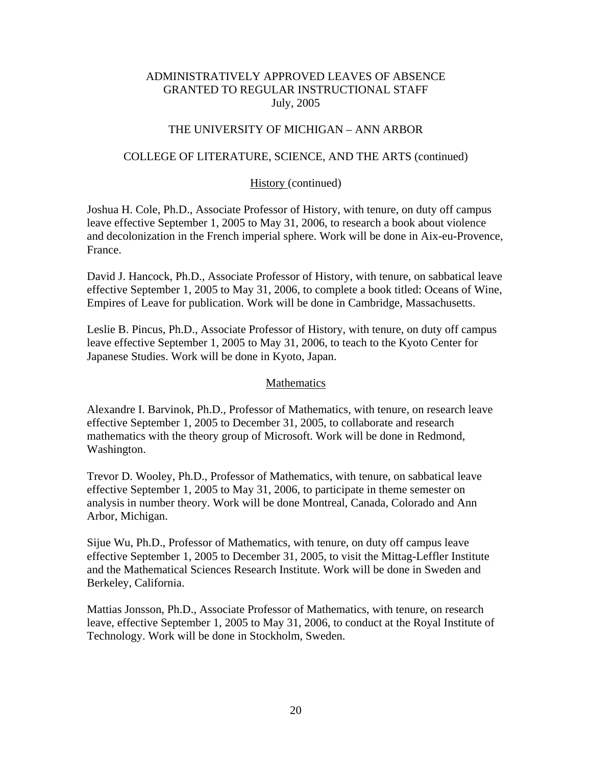# THE UNIVERSITY OF MICHIGAN – ANN ARBOR

## COLLEGE OF LITERATURE, SCIENCE, AND THE ARTS (continued)

## History (continued)

Joshua H. Cole, Ph.D., Associate Professor of History, with tenure, on duty off campus leave effective September 1, 2005 to May 31, 2006, to research a book about violence and decolonization in the French imperial sphere. Work will be done in Aix-eu-Provence, France.

David J. Hancock, Ph.D., Associate Professor of History, with tenure, on sabbatical leave effective September 1, 2005 to May 31, 2006, to complete a book titled: Oceans of Wine, Empires of Leave for publication. Work will be done in Cambridge, Massachusetts.

Leslie B. Pincus, Ph.D., Associate Professor of History, with tenure, on duty off campus leave effective September 1, 2005 to May 31, 2006, to teach to the Kyoto Center for Japanese Studies. Work will be done in Kyoto, Japan.

#### Mathematics

Alexandre I. Barvinok, Ph.D., Professor of Mathematics, with tenure, on research leave effective September 1, 2005 to December 31, 2005, to collaborate and research mathematics with the theory group of Microsoft. Work will be done in Redmond, Washington.

Trevor D. Wooley, Ph.D., Professor of Mathematics, with tenure, on sabbatical leave effective September 1, 2005 to May 31, 2006, to participate in theme semester on analysis in number theory. Work will be done Montreal, Canada, Colorado and Ann Arbor, Michigan.

Sijue Wu, Ph.D., Professor of Mathematics, with tenure, on duty off campus leave effective September 1, 2005 to December 31, 2005, to visit the Mittag-Leffler Institute and the Mathematical Sciences Research Institute. Work will be done in Sweden and Berkeley, California.

Mattias Jonsson, Ph.D., Associate Professor of Mathematics, with tenure, on research leave, effective September 1, 2005 to May 31, 2006, to conduct at the Royal Institute of Technology. Work will be done in Stockholm, Sweden.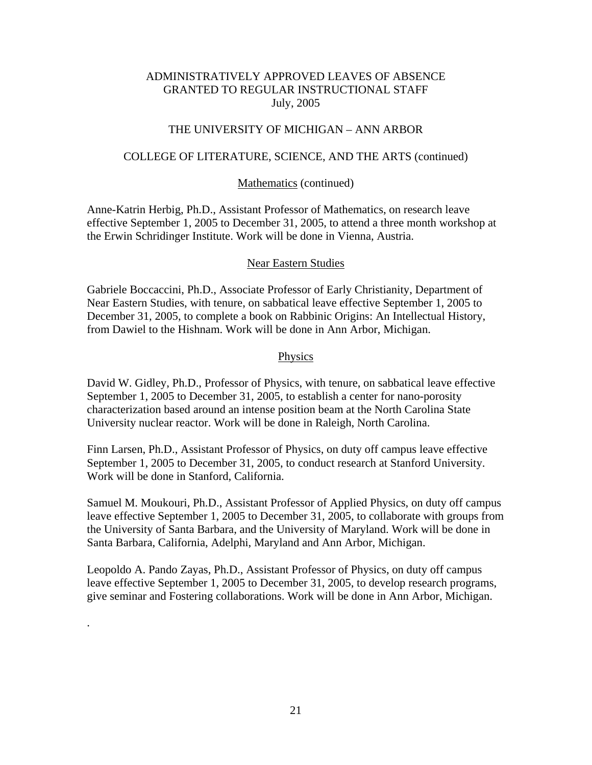### THE UNIVERSITY OF MICHIGAN – ANN ARBOR

#### COLLEGE OF LITERATURE, SCIENCE, AND THE ARTS (continued)

#### Mathematics (continued)

Anne-Katrin Herbig, Ph.D., Assistant Professor of Mathematics, on research leave effective September 1, 2005 to December 31, 2005, to attend a three month workshop at the Erwin Schridinger Institute. Work will be done in Vienna, Austria.

#### Near Eastern Studies

Gabriele Boccaccini, Ph.D., Associate Professor of Early Christianity, Department of Near Eastern Studies, with tenure, on sabbatical leave effective September 1, 2005 to December 31, 2005, to complete a book on Rabbinic Origins: An Intellectual History, from Dawiel to the Hishnam. Work will be done in Ann Arbor, Michigan.

#### Physics

David W. Gidley, Ph.D., Professor of Physics, with tenure, on sabbatical leave effective September 1, 2005 to December 31, 2005, to establish a center for nano-porosity characterization based around an intense position beam at the North Carolina State University nuclear reactor. Work will be done in Raleigh, North Carolina.

Finn Larsen, Ph.D., Assistant Professor of Physics, on duty off campus leave effective September 1, 2005 to December 31, 2005, to conduct research at Stanford University. Work will be done in Stanford, California.

Samuel M. Moukouri, Ph.D., Assistant Professor of Applied Physics, on duty off campus leave effective September 1, 2005 to December 31, 2005, to collaborate with groups from the University of Santa Barbara, and the University of Maryland. Work will be done in Santa Barbara, California, Adelphi, Maryland and Ann Arbor, Michigan.

Leopoldo A. Pando Zayas, Ph.D., Assistant Professor of Physics, on duty off campus leave effective September 1, 2005 to December 31, 2005, to develop research programs, give seminar and Fostering collaborations. Work will be done in Ann Arbor, Michigan.

.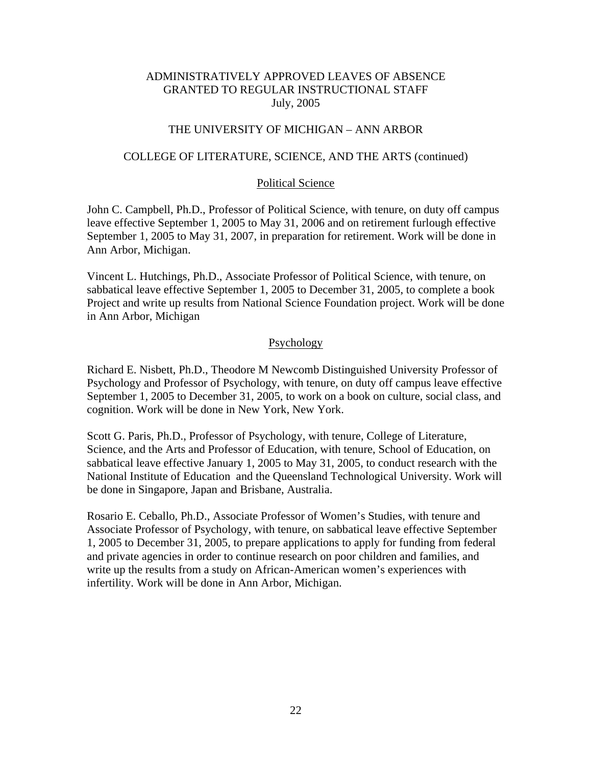## THE UNIVERSITY OF MICHIGAN – ANN ARBOR

#### COLLEGE OF LITERATURE, SCIENCE, AND THE ARTS (continued)

#### Political Science

John C. Campbell, Ph.D., Professor of Political Science, with tenure, on duty off campus leave effective September 1, 2005 to May 31, 2006 and on retirement furlough effective September 1, 2005 to May 31, 2007, in preparation for retirement. Work will be done in Ann Arbor, Michigan.

Vincent L. Hutchings, Ph.D., Associate Professor of Political Science, with tenure, on sabbatical leave effective September 1, 2005 to December 31, 2005, to complete a book Project and write up results from National Science Foundation project. Work will be done in Ann Arbor, Michigan

#### Psychology

Richard E. Nisbett, Ph.D., Theodore M Newcomb Distinguished University Professor of Psychology and Professor of Psychology, with tenure, on duty off campus leave effective September 1, 2005 to December 31, 2005, to work on a book on culture, social class, and cognition. Work will be done in New York, New York.

Scott G. Paris, Ph.D., Professor of Psychology, with tenure, College of Literature, Science, and the Arts and Professor of Education, with tenure, School of Education, on sabbatical leave effective January 1, 2005 to May 31, 2005, to conduct research with the National Institute of Education and the Queensland Technological University. Work will be done in Singapore, Japan and Brisbane, Australia.

Rosario E. Ceballo, Ph.D., Associate Professor of Women's Studies, with tenure and Associate Professor of Psychology, with tenure, on sabbatical leave effective September 1, 2005 to December 31, 2005, to prepare applications to apply for funding from federal and private agencies in order to continue research on poor children and families, and write up the results from a study on African-American women's experiences with infertility. Work will be done in Ann Arbor, Michigan.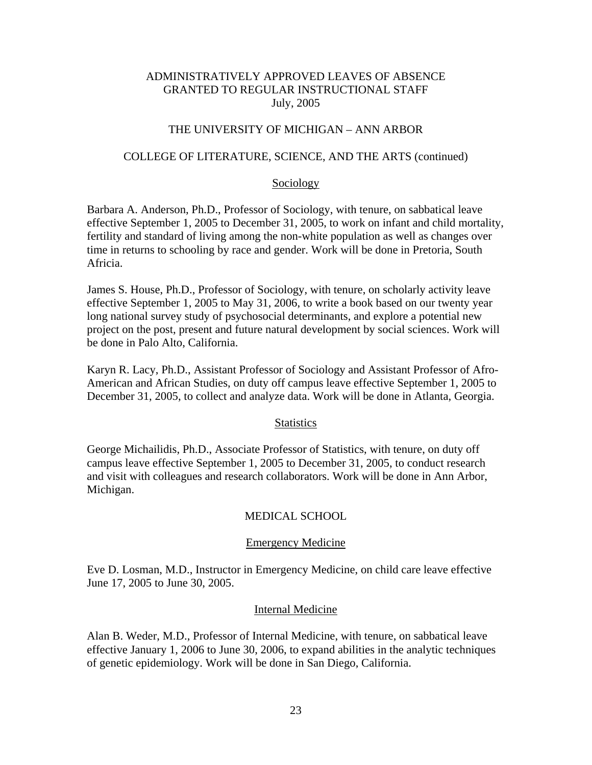## THE UNIVERSITY OF MICHIGAN – ANN ARBOR

#### COLLEGE OF LITERATURE, SCIENCE, AND THE ARTS (continued)

#### Sociology

Barbara A. Anderson, Ph.D., Professor of Sociology, with tenure, on sabbatical leave effective September 1, 2005 to December 31, 2005, to work on infant and child mortality, fertility and standard of living among the non-white population as well as changes over time in returns to schooling by race and gender. Work will be done in Pretoria, South Africia.

James S. House, Ph.D., Professor of Sociology, with tenure, on scholarly activity leave effective September 1, 2005 to May 31, 2006, to write a book based on our twenty year long national survey study of psychosocial determinants, and explore a potential new project on the post, present and future natural development by social sciences. Work will be done in Palo Alto, California.

Karyn R. Lacy, Ph.D., Assistant Professor of Sociology and Assistant Professor of Afro-American and African Studies, on duty off campus leave effective September 1, 2005 to December 31, 2005, to collect and analyze data. Work will be done in Atlanta, Georgia.

#### **Statistics**

George Michailidis, Ph.D., Associate Professor of Statistics, with tenure, on duty off campus leave effective September 1, 2005 to December 31, 2005, to conduct research and visit with colleagues and research collaborators. Work will be done in Ann Arbor, Michigan.

#### MEDICAL SCHOOL

#### Emergency Medicine

Eve D. Losman, M.D., Instructor in Emergency Medicine, on child care leave effective June 17, 2005 to June 30, 2005.

#### Internal Medicine

Alan B. Weder, M.D., Professor of Internal Medicine, with tenure, on sabbatical leave effective January 1, 2006 to June 30, 2006, to expand abilities in the analytic techniques of genetic epidemiology. Work will be done in San Diego, California.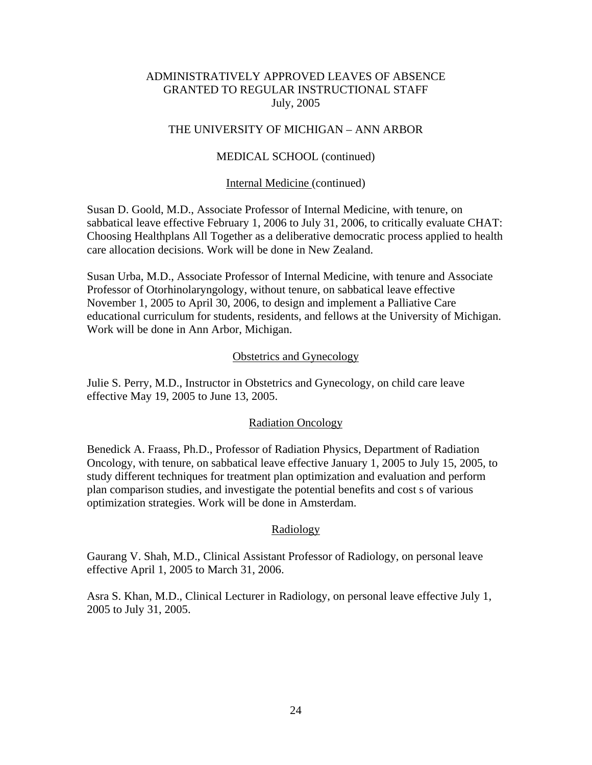## THE UNIVERSITY OF MICHIGAN – ANN ARBOR

### MEDICAL SCHOOL (continued)

#### Internal Medicine (continued)

Susan D. Goold, M.D., Associate Professor of Internal Medicine, with tenure, on sabbatical leave effective February 1, 2006 to July 31, 2006, to critically evaluate CHAT: Choosing Healthplans All Together as a deliberative democratic process applied to health care allocation decisions. Work will be done in New Zealand.

Susan Urba, M.D., Associate Professor of Internal Medicine, with tenure and Associate Professor of Otorhinolaryngology, without tenure, on sabbatical leave effective November 1, 2005 to April 30, 2006, to design and implement a Palliative Care educational curriculum for students, residents, and fellows at the University of Michigan. Work will be done in Ann Arbor, Michigan.

#### Obstetrics and Gynecology

Julie S. Perry, M.D., Instructor in Obstetrics and Gynecology, on child care leave effective May 19, 2005 to June 13, 2005.

#### Radiation Oncology

Benedick A. Fraass, Ph.D., Professor of Radiation Physics, Department of Radiation Oncology, with tenure, on sabbatical leave effective January 1, 2005 to July 15, 2005, to study different techniques for treatment plan optimization and evaluation and perform plan comparison studies, and investigate the potential benefits and cost s of various optimization strategies. Work will be done in Amsterdam.

#### Radiology

Gaurang V. Shah, M.D., Clinical Assistant Professor of Radiology, on personal leave effective April 1, 2005 to March 31, 2006.

Asra S. Khan, M.D., Clinical Lecturer in Radiology, on personal leave effective July 1, 2005 to July 31, 2005.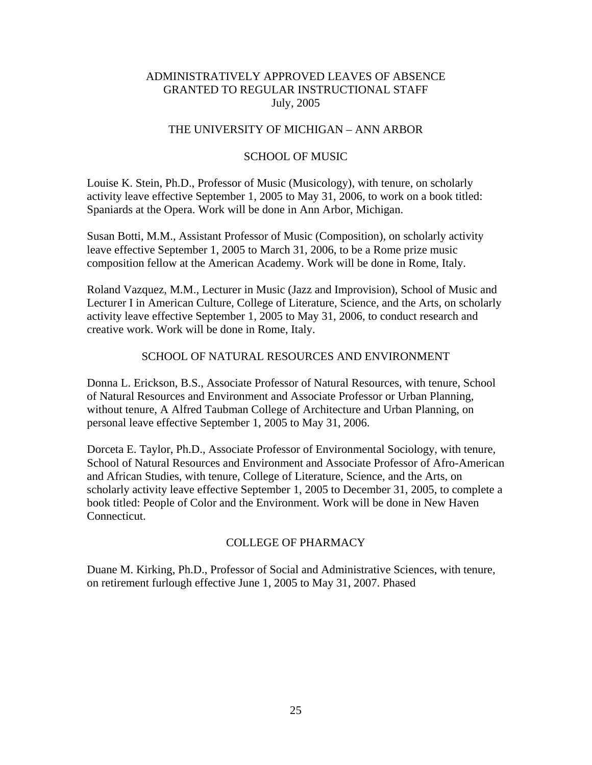# THE UNIVERSITY OF MICHIGAN – ANN ARBOR

### SCHOOL OF MUSIC

Louise K. Stein, Ph.D., Professor of Music (Musicology), with tenure, on scholarly activity leave effective September 1, 2005 to May 31, 2006, to work on a book titled: Spaniards at the Opera. Work will be done in Ann Arbor, Michigan.

Susan Botti, M.M., Assistant Professor of Music (Composition), on scholarly activity leave effective September 1, 2005 to March 31, 2006, to be a Rome prize music composition fellow at the American Academy. Work will be done in Rome, Italy.

Roland Vazquez, M.M., Lecturer in Music (Jazz and Improvision), School of Music and Lecturer I in American Culture, College of Literature, Science, and the Arts, on scholarly activity leave effective September 1, 2005 to May 31, 2006, to conduct research and creative work. Work will be done in Rome, Italy.

## SCHOOL OF NATURAL RESOURCES AND ENVIRONMENT

Donna L. Erickson, B.S., Associate Professor of Natural Resources, with tenure, School of Natural Resources and Environment and Associate Professor or Urban Planning, without tenure, A Alfred Taubman College of Architecture and Urban Planning, on personal leave effective September 1, 2005 to May 31, 2006.

Dorceta E. Taylor, Ph.D., Associate Professor of Environmental Sociology, with tenure, School of Natural Resources and Environment and Associate Professor of Afro-American and African Studies, with tenure, College of Literature, Science, and the Arts, on scholarly activity leave effective September 1, 2005 to December 31, 2005, to complete a book titled: People of Color and the Environment. Work will be done in New Haven Connecticut.

#### COLLEGE OF PHARMACY

Duane M. Kirking, Ph.D., Professor of Social and Administrative Sciences, with tenure, on retirement furlough effective June 1, 2005 to May 31, 2007. Phased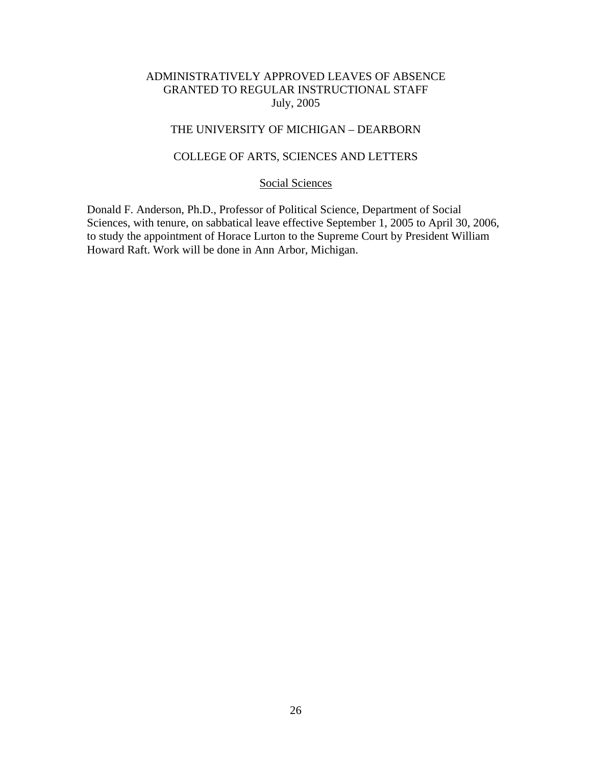# THE UNIVERSITY OF MICHIGAN – DEARBORN

# COLLEGE OF ARTS, SCIENCES AND LETTERS

# Social Sciences

Donald F. Anderson, Ph.D., Professor of Political Science, Department of Social Sciences, with tenure, on sabbatical leave effective September 1, 2005 to April 30, 2006, to study the appointment of Horace Lurton to the Supreme Court by President William Howard Raft. Work will be done in Ann Arbor, Michigan.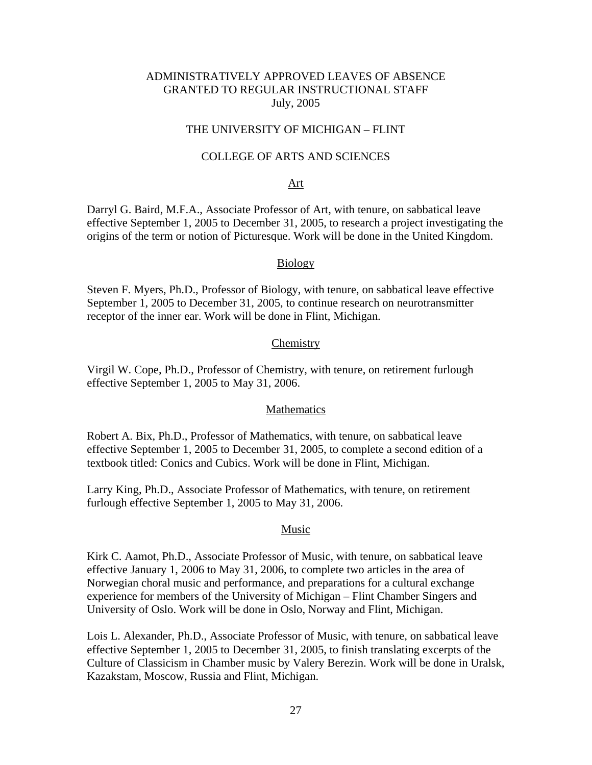## THE UNIVERSITY OF MICHIGAN – FLINT

## COLLEGE OF ARTS AND SCIENCES

#### Art

Darryl G. Baird, M.F.A., Associate Professor of Art, with tenure, on sabbatical leave effective September 1, 2005 to December 31, 2005, to research a project investigating the origins of the term or notion of Picturesque. Work will be done in the United Kingdom.

#### Biology

Steven F. Myers, Ph.D., Professor of Biology, with tenure, on sabbatical leave effective September 1, 2005 to December 31, 2005, to continue research on neurotransmitter receptor of the inner ear. Work will be done in Flint, Michigan.

#### Chemistry

Virgil W. Cope, Ph.D., Professor of Chemistry, with tenure, on retirement furlough effective September 1, 2005 to May 31, 2006.

#### Mathematics

Robert A. Bix, Ph.D., Professor of Mathematics, with tenure, on sabbatical leave effective September 1, 2005 to December 31, 2005, to complete a second edition of a textbook titled: Conics and Cubics. Work will be done in Flint, Michigan.

Larry King, Ph.D., Associate Professor of Mathematics, with tenure, on retirement furlough effective September 1, 2005 to May 31, 2006.

#### Music

Kirk C. Aamot, Ph.D., Associate Professor of Music, with tenure, on sabbatical leave effective January 1, 2006 to May 31, 2006, to complete two articles in the area of Norwegian choral music and performance, and preparations for a cultural exchange experience for members of the University of Michigan – Flint Chamber Singers and University of Oslo. Work will be done in Oslo, Norway and Flint, Michigan.

Lois L. Alexander, Ph.D., Associate Professor of Music, with tenure, on sabbatical leave effective September 1, 2005 to December 31, 2005, to finish translating excerpts of the Culture of Classicism in Chamber music by Valery Berezin. Work will be done in Uralsk, Kazakstam, Moscow, Russia and Flint, Michigan.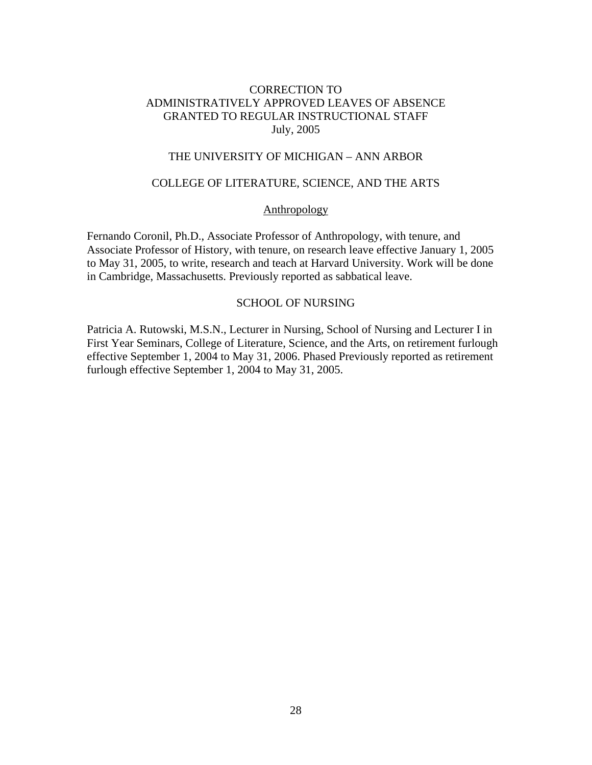# THE UNIVERSITY OF MICHIGAN – ANN ARBOR

# COLLEGE OF LITERATURE, SCIENCE, AND THE ARTS

#### Anthropology

Fernando Coronil, Ph.D., Associate Professor of Anthropology, with tenure, and Associate Professor of History, with tenure, on research leave effective January 1, 2005 to May 31, 2005, to write, research and teach at Harvard University. Work will be done in Cambridge, Massachusetts. Previously reported as sabbatical leave.

# SCHOOL OF NURSING

Patricia A. Rutowski, M.S.N., Lecturer in Nursing, School of Nursing and Lecturer I in First Year Seminars, College of Literature, Science, and the Arts, on retirement furlough effective September 1, 2004 to May 31, 2006. Phased Previously reported as retirement furlough effective September 1, 2004 to May 31, 2005.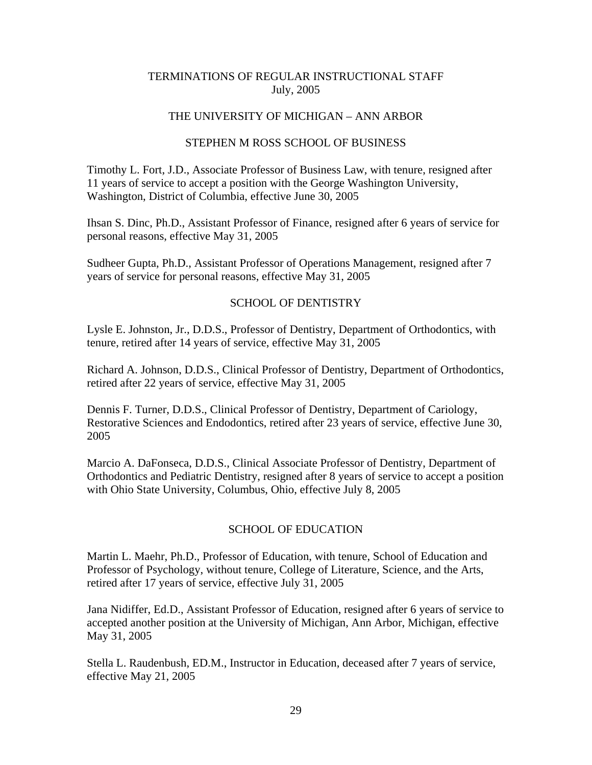## THE UNIVERSITY OF MICHIGAN – ANN ARBOR

## STEPHEN M ROSS SCHOOL OF BUSINESS

Timothy L. Fort, J.D., Associate Professor of Business Law, with tenure, resigned after 11 years of service to accept a position with the George Washington University, Washington, District of Columbia, effective June 30, 2005

Ihsan S. Dinc, Ph.D., Assistant Professor of Finance, resigned after 6 years of service for personal reasons, effective May 31, 2005

Sudheer Gupta, Ph.D., Assistant Professor of Operations Management, resigned after 7 years of service for personal reasons, effective May 31, 2005

## SCHOOL OF DENTISTRY

Lysle E. Johnston, Jr., D.D.S., Professor of Dentistry, Department of Orthodontics, with tenure, retired after 14 years of service, effective May 31, 2005

Richard A. Johnson, D.D.S., Clinical Professor of Dentistry, Department of Orthodontics, retired after 22 years of service, effective May 31, 2005

Dennis F. Turner, D.D.S., Clinical Professor of Dentistry, Department of Cariology, Restorative Sciences and Endodontics, retired after 23 years of service, effective June 30, 2005

Marcio A. DaFonseca, D.D.S., Clinical Associate Professor of Dentistry, Department of Orthodontics and Pediatric Dentistry, resigned after 8 years of service to accept a position with Ohio State University, Columbus, Ohio, effective July 8, 2005

## SCHOOL OF EDUCATION

Martin L. Maehr, Ph.D., Professor of Education, with tenure, School of Education and Professor of Psychology, without tenure, College of Literature, Science, and the Arts, retired after 17 years of service, effective July 31, 2005

Jana Nidiffer, Ed.D., Assistant Professor of Education, resigned after 6 years of service to accepted another position at the University of Michigan, Ann Arbor, Michigan, effective May 31, 2005

Stella L. Raudenbush, ED.M., Instructor in Education, deceased after 7 years of service, effective May 21, 2005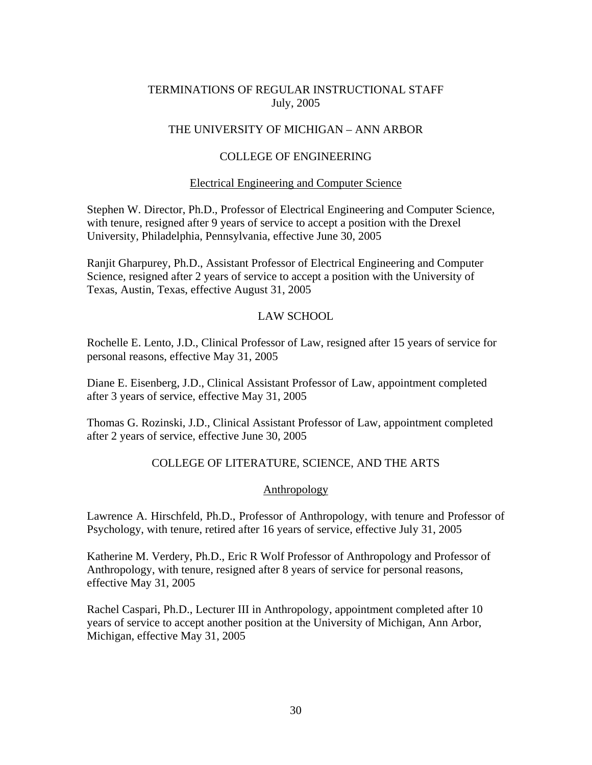# THE UNIVERSITY OF MICHIGAN – ANN ARBOR

# COLLEGE OF ENGINEERING

## Electrical Engineering and Computer Science

Stephen W. Director, Ph.D., Professor of Electrical Engineering and Computer Science, with tenure, resigned after 9 years of service to accept a position with the Drexel University, Philadelphia, Pennsylvania, effective June 30, 2005

Ranjit Gharpurey, Ph.D., Assistant Professor of Electrical Engineering and Computer Science, resigned after 2 years of service to accept a position with the University of Texas, Austin, Texas, effective August 31, 2005

## LAW SCHOOL

Rochelle E. Lento, J.D., Clinical Professor of Law, resigned after 15 years of service for personal reasons, effective May 31, 2005

Diane E. Eisenberg, J.D., Clinical Assistant Professor of Law, appointment completed after 3 years of service, effective May 31, 2005

Thomas G. Rozinski, J.D., Clinical Assistant Professor of Law, appointment completed after 2 years of service, effective June 30, 2005

# COLLEGE OF LITERATURE, SCIENCE, AND THE ARTS

## Anthropology

Lawrence A. Hirschfeld, Ph.D., Professor of Anthropology, with tenure and Professor of Psychology, with tenure, retired after 16 years of service, effective July 31, 2005

Katherine M. Verdery, Ph.D., Eric R Wolf Professor of Anthropology and Professor of Anthropology, with tenure, resigned after 8 years of service for personal reasons, effective May 31, 2005

Rachel Caspari, Ph.D., Lecturer III in Anthropology, appointment completed after 10 years of service to accept another position at the University of Michigan, Ann Arbor, Michigan, effective May 31, 2005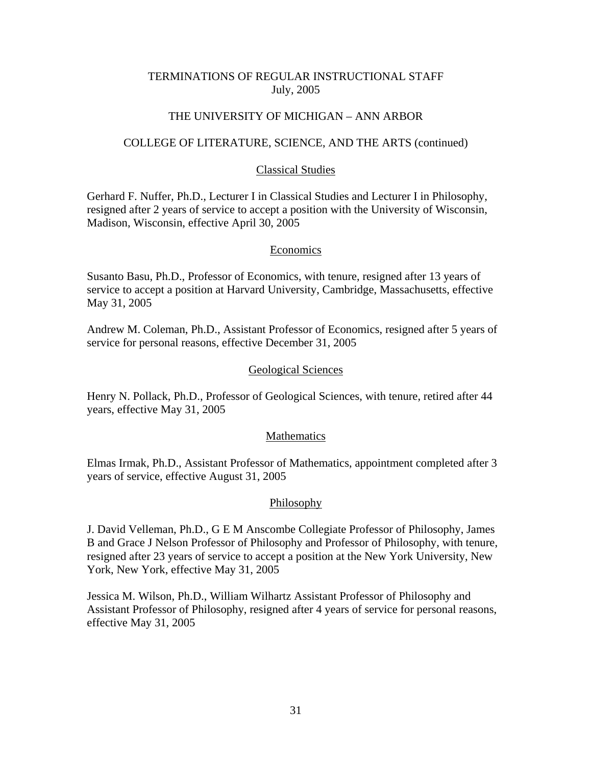# THE UNIVERSITY OF MICHIGAN – ANN ARBOR

## COLLEGE OF LITERATURE, SCIENCE, AND THE ARTS (continued)

## Classical Studies

Gerhard F. Nuffer, Ph.D., Lecturer I in Classical Studies and Lecturer I in Philosophy, resigned after 2 years of service to accept a position with the University of Wisconsin, Madison, Wisconsin, effective April 30, 2005

# **Economics**

Susanto Basu, Ph.D., Professor of Economics, with tenure, resigned after 13 years of service to accept a position at Harvard University, Cambridge, Massachusetts, effective May 31, 2005

Andrew M. Coleman, Ph.D., Assistant Professor of Economics, resigned after 5 years of service for personal reasons, effective December 31, 2005

## Geological Sciences

Henry N. Pollack, Ph.D., Professor of Geological Sciences, with tenure, retired after 44 years, effective May 31, 2005

## Mathematics

Elmas Irmak, Ph.D., Assistant Professor of Mathematics, appointment completed after 3 years of service, effective August 31, 2005

# Philosophy

J. David Velleman, Ph.D., G E M Anscombe Collegiate Professor of Philosophy, James B and Grace J Nelson Professor of Philosophy and Professor of Philosophy, with tenure, resigned after 23 years of service to accept a position at the New York University, New York, New York, effective May 31, 2005

Jessica M. Wilson, Ph.D., William Wilhartz Assistant Professor of Philosophy and Assistant Professor of Philosophy, resigned after 4 years of service for personal reasons, effective May 31, 2005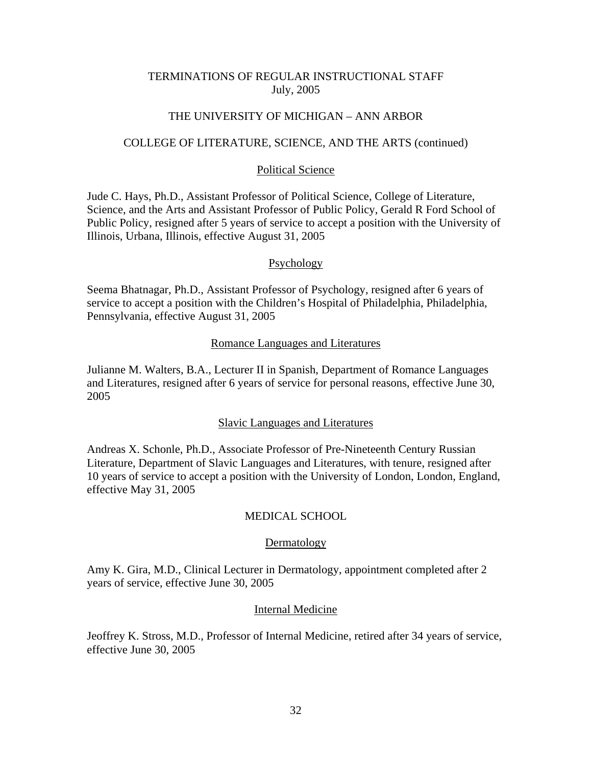### THE UNIVERSITY OF MICHIGAN – ANN ARBOR

### COLLEGE OF LITERATURE, SCIENCE, AND THE ARTS (continued)

### Political Science

Jude C. Hays, Ph.D., Assistant Professor of Political Science, College of Literature, Science, and the Arts and Assistant Professor of Public Policy, Gerald R Ford School of Public Policy, resigned after 5 years of service to accept a position with the University of Illinois, Urbana, Illinois, effective August 31, 2005

## Psychology

Seema Bhatnagar, Ph.D., Assistant Professor of Psychology, resigned after 6 years of service to accept a position with the Children's Hospital of Philadelphia, Philadelphia, Pennsylvania, effective August 31, 2005

#### Romance Languages and Literatures

Julianne M. Walters, B.A., Lecturer II in Spanish, Department of Romance Languages and Literatures, resigned after 6 years of service for personal reasons, effective June 30, 2005

#### Slavic Languages and Literatures

Andreas X. Schonle, Ph.D., Associate Professor of Pre-Nineteenth Century Russian Literature, Department of Slavic Languages and Literatures, with tenure, resigned after 10 years of service to accept a position with the University of London, London, England, effective May 31, 2005

#### MEDICAL SCHOOL

#### Dermatology

Amy K. Gira, M.D., Clinical Lecturer in Dermatology, appointment completed after 2 years of service, effective June 30, 2005

#### Internal Medicine

Jeoffrey K. Stross, M.D., Professor of Internal Medicine, retired after 34 years of service, effective June 30, 2005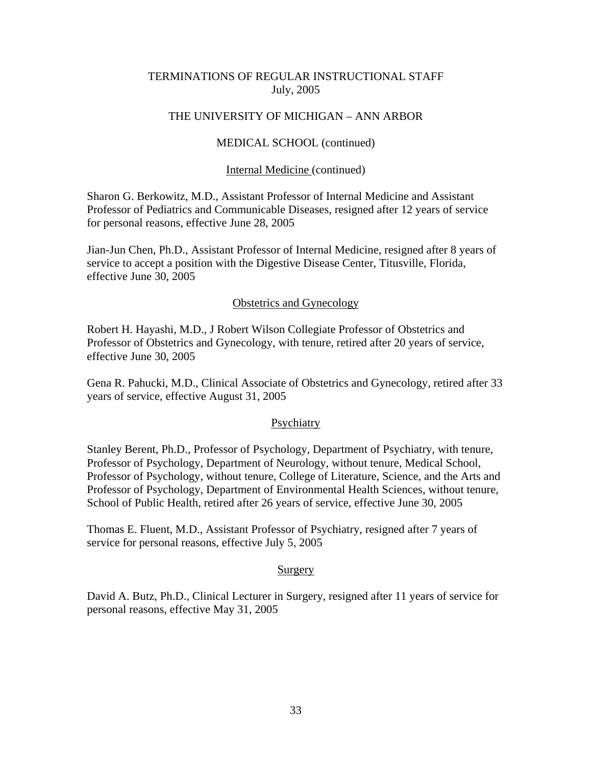# THE UNIVERSITY OF MICHIGAN – ANN ARBOR

## MEDICAL SCHOOL (continued)

#### Internal Medicine (continued)

Sharon G. Berkowitz, M.D., Assistant Professor of Internal Medicine and Assistant Professor of Pediatrics and Communicable Diseases, resigned after 12 years of service for personal reasons, effective June 28, 2005

Jian-Jun Chen, Ph.D., Assistant Professor of Internal Medicine, resigned after 8 years of service to accept a position with the Digestive Disease Center, Titusville, Florida, effective June 30, 2005

#### Obstetrics and Gynecology

Robert H. Hayashi, M.D., J Robert Wilson Collegiate Professor of Obstetrics and Professor of Obstetrics and Gynecology, with tenure, retired after 20 years of service, effective June 30, 2005

Gena R. Pahucki, M.D., Clinical Associate of Obstetrics and Gynecology, retired after 33 years of service, effective August 31, 2005

#### Psychiatry

Stanley Berent, Ph.D., Professor of Psychology, Department of Psychiatry, with tenure, Professor of Psychology, Department of Neurology, without tenure, Medical School, Professor of Psychology, without tenure, College of Literature, Science, and the Arts and Professor of Psychology, Department of Environmental Health Sciences, without tenure, School of Public Health, retired after 26 years of service, effective June 30, 2005

Thomas E. Fluent, M.D., Assistant Professor of Psychiatry, resigned after 7 years of service for personal reasons, effective July 5, 2005

#### Surgery

David A. Butz, Ph.D., Clinical Lecturer in Surgery, resigned after 11 years of service for personal reasons, effective May 31, 2005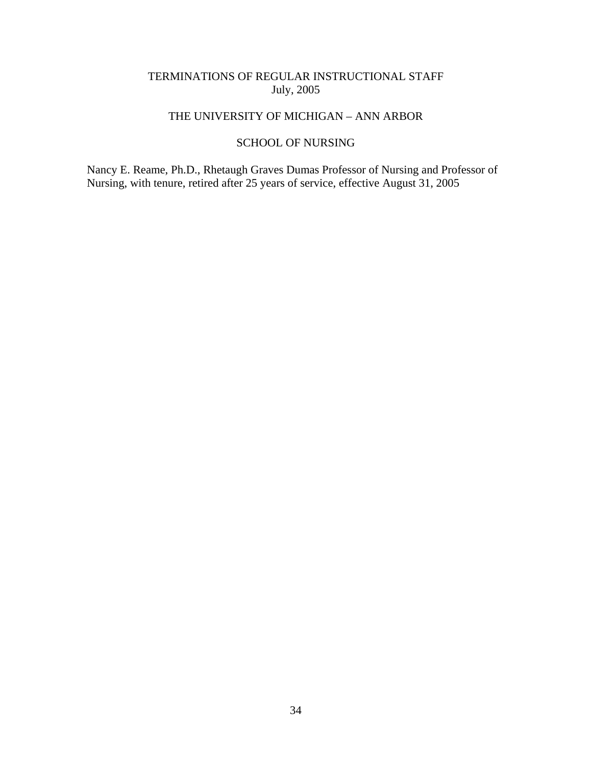## THE UNIVERSITY OF MICHIGAN – ANN ARBOR

## SCHOOL OF NURSING

Nancy E. Reame, Ph.D., Rhetaugh Graves Dumas Professor of Nursing and Professor of Nursing, with tenure, retired after 25 years of service, effective August 31, 2005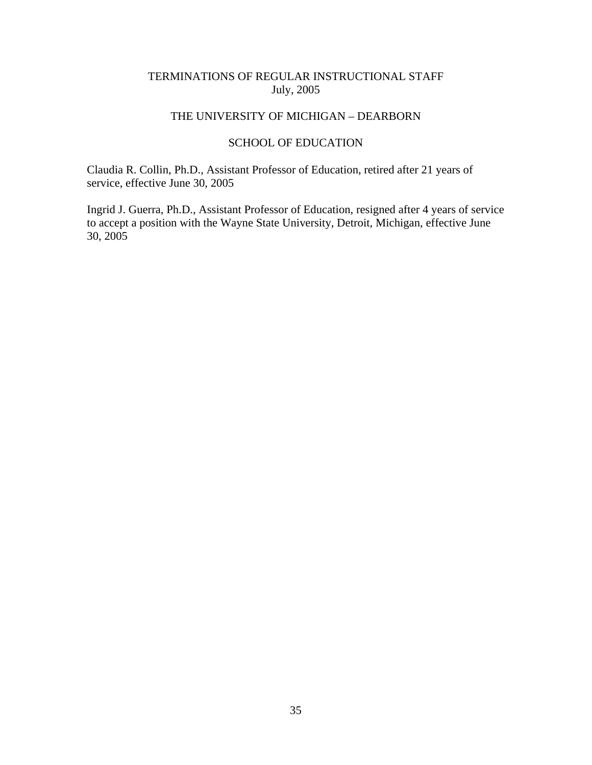# THE UNIVERSITY OF MICHIGAN – DEARBORN

## SCHOOL OF EDUCATION

Claudia R. Collin, Ph.D., Assistant Professor of Education, retired after 21 years of service, effective June 30, 2005

Ingrid J. Guerra, Ph.D., Assistant Professor of Education, resigned after 4 years of service to accept a position with the Wayne State University, Detroit, Michigan, effective June 30, 2005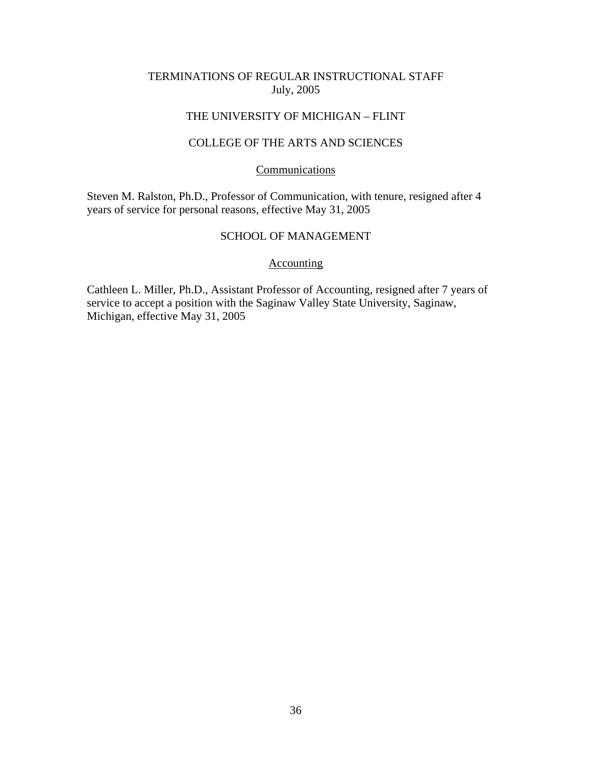## THE UNIVERSITY OF MICHIGAN – FLINT

# COLLEGE OF THE ARTS AND SCIENCES

## Communications

Steven M. Ralston, Ph.D., Professor of Communication, with tenure, resigned after 4 years of service for personal reasons, effective May 31, 2005

## SCHOOL OF MANAGEMENT

#### Accounting

Cathleen L. Miller, Ph.D., Assistant Professor of Accounting, resigned after 7 years of service to accept a position with the Saginaw Valley State University, Saginaw, Michigan, effective May 31, 2005